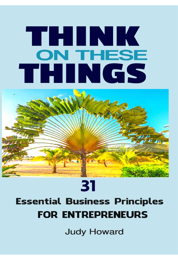# THINK **ON THESE** THINGS



# 31 **Essential Business Principles FOR ENTREPRENEURS**

**Judy Howard**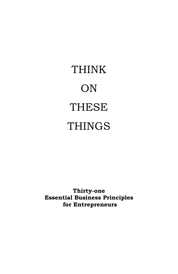# THINK ON THESE THINGS

**Thirty-one Essential Business Principles for Entrepreneurs**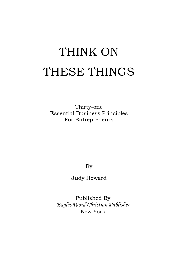# THINK ON THESE THINGS

Thirty-one Essential Business Principles For Entrepreneurs

By

Judy Howard

Published By *Eagles Word Christian Publisher* New York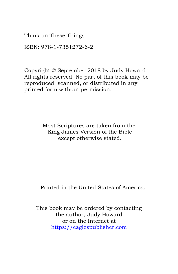Think on These Things

ISBN: 978-1-7351272-6-2

Copyright © September 2018 by Judy Howard All rights reserved. No part of this book may be reproduced, scanned, or distributed in any printed form without permission.

> Most Scriptures are taken from the King James Version of the Bible except otherwise stated.

Printed in the United States of America.

This book may be ordered by contacting the author, Judy Howard or on the Internet at [https://eaglespublisher.com](https://eaglespublisher.com/)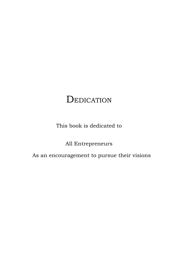# **DEDICATION**

This book is dedicated to

All Entrepreneurs

As an encouragement to pursue their visions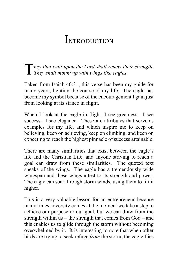# **INTRODUCTION**

*hey that wait upon the Lord shall renew their strength.*  They that wait upon the Lord shall renew the They shall mount up with wings like eagles.

Taken from Isaiah 40:31, this verse has been my guide for many years, lighting the course of my life. The eagle has become my symbol because of the encouragement I gain just from looking at its stance in flight.

When I look at the eagle in flight, I see greatness. I see success. I see elegance. These are attributes that serve as examples for my life, and which inspire me to keep on believing, keep on achieving, keep on climbing, and keep on expecting to reach the highest pinnacle of success attainable.

There are many similarities that exist between the eagle's life and the Christian Life, and anyone striving to reach a goal can draw from these similarities. The quoted text speaks of the wings. The eagle has a tremendously wide wingspan and these wings attest to its strength and power. The eagle can soar through storm winds, using them to lift it higher.

This is a very valuable lesson for an entrepreneur because many times adversity comes at the moment we take a step to achieve our purpose or our goal, but we can draw from the strength within us – the strength that comes from God – and this enables us to glide through the storm without becoming overwhelmed by it. It is interesting to note that when other birds are trying to seek refuge *from* the storm, the eagle flies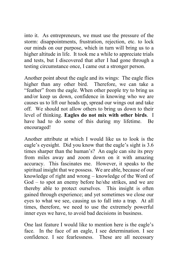into it. As entrepreneurs, we must use the pressure of the storm: disappointments, frustration, rejection, etc. to lock our minds on our purpose, which in turn will bring us to a higher altitude in life. It took me a while to appreciate trials and tests, but I discovered that after I had gone through a testing circumstance once, I came out a stronger person.

Another point about the eagle and its wings: The eagle flies higher than any other bird. Therefore, we can take a "feather" from the eagle. When other people try to bring us and/or keep us down, confidence in knowing who we are causes us to lift our heads up, spread our wings out and take off. We should not allow others to bring us down to their level of thinking. **Eagles do not mix with other birds**. I have had to do some of this during my lifetime. Be encouraged!

Another attribute at which I would like us to look is the eagle's eyesight. Did you know that the eagle's sight is 3.6 times sharper than the human's? An eagle can site its prey from miles away and zoom down on it with amazing accuracy. This fascinates me. However, it speaks to the spiritual insight that we possess. We are able, because of our knowledge of right and wrong – knowledge of the Word of God – to spot an enemy before he/she strikes, and we are thereby able to protect ourselves. This insight is often gained through experience; and yet sometimes we close our eyes to what we see, causing us to fall into a trap. At all times, therefore, we need to use the extremely powerful inner eyes we have, to avoid bad decisions in business.

One last feature I would like to mention here is the eagle's face. In the face of an eagle, I see determination. I see confidence. I see fearlessness. These are all necessary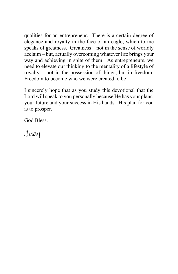qualities for an entrepreneur. There is a certain degree of elegance and royalty in the face of an eagle, which to me speaks of greatness. Greatness – not in the sense of worldly acclaim – but, actually overcoming whatever life brings your way and achieving in spite of them. As entrepreneurs, we need to elevate our thinking to the mentality of a lifestyle of royalty – not in the possession of things, but in freedom. Freedom to become who we were created to be!

I sincerely hope that as you study this devotional that the Lord will speak to you personally because He has your plans, your future and your success in His hands. His plan for you is to prosper.

God Bless.

Judy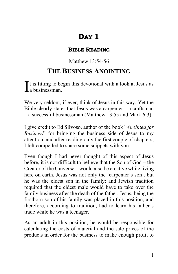#### **BIBLE READING**

## Matthew 13:54-56

## **THE BUSINESS ANOINTING**

t is fitting to begin this devotional with a look at Jesus as  $\int_a^t$  is fitting to be a businessman.

We very seldom, if ever, think of Jesus in this way. Yet the Bible clearly states that Jesus was a carpenter  $-$  a craftsman – a successful businessman (Matthew 13:55 and Mark 6:3).

I give credit to Ed Silvoso, author of the book "*Anointed for Business*" for bringing the business side of Jesus to my attention, and after reading only the first couple of chapters, I felt compelled to share some snippets with you.

Even though I had never thought of this aspect of Jesus before, it is not difficult to believe that the Son of God – the Creator of the Universe – would also be creative while living here on earth. Jesus was not only the 'carpenter's son', but he was the eldest son in the family; and Jewish tradition required that the eldest male would have to take over the family business after the death of the father. Jesus, being the firstborn son of his family was placed in this position, and therefore, according to tradition, had to learn his father's trade while he was a teenager.

As an adult in this position, he would be responsible for calculating the costs of material and the sale prices of the products in order for the business to make enough profit to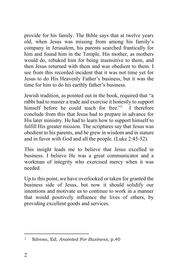provide for his family. The Bible says that at twelve years old, when Jesus was missing from among his family's company in Jerusalem, his parents searched frantically for him and found him in the Temple. His mother, as mothers would do, rebuked him for being insensitive to them, and then Jesus returned with them and was obedient to them. I see from this recorded incident that it was not time yet for Jesus to do His Heavenly Father's business, but it was the time for him to do his earthly father's business.

Jewish tradition, as pointed out in the book, required that "a rabbi had to master a trade and exercise it honestly to support himself before he could teach for free."<sup>1</sup> I therefore conclude from this that Jesus had to prepare in advance for His later ministry. He had to learn how to support himself to fulfill His greater mission. The scriptures say that Jesus was obedient to his parents, and he grew in wisdom and in stature and in favor with God and all the people. (Luke 2:45-52).

This insight leads me to believe that Jesus excelled in business. I believe He was a great communicator and a workman of integrity who exercised mercy when it was needed.

Up to this point, we have overlooked or taken for granted the business side of Jesus, but now it should solidify our intentions and motivate us to continue to work in a manner that would positively influence the lives of others, by providing excellent goods and services.

<sup>1</sup> Silvoso, Ed; *Anointed For Business;* p.40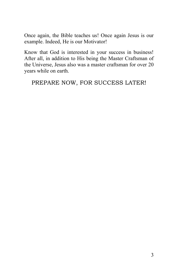Once again, the Bible teaches us! Once again Jesus is our example. Indeed, He is our Motivator!

Know that God is interested in your success in business! After all, in addition to His being the Master Craftsman of the Universe, Jesus also was a master craftsman for over 20 years while on earth.

PREPARE NOW, FOR SUCCESS LATER!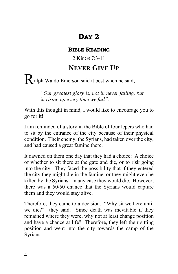#### **BIBLE READING**

2 KinGS 7:3-11

## **NEVER GIVE UP**

Ralph Waldo Emerson said it best when he said,

*"Our greatest glory is, not in never failing, but in rising up every time we fail".*

With this thought in mind, I would like to encourage you to go for it!

I am reminded of a story in the Bible of four lepers who had to sit by the entrance of the city because of their physical condition. Their enemy, the Syrians, had taken over the city, and had caused a great famine there.

It dawned on them one day that they had a choice: A choice of whether to sit there at the gate and die, or to risk going into the city. They faced the possibility that if they entered the city they might die in the famine, or they might even be killed by the Syrians. In any case they would die. However, there was a 50/50 chance that the Syrians would capture them and they would stay alive.

Therefore, they came to a decision. "Why sit we here until we die?" they said. Since death was inevitable if they remained where they were, why not at least change position and have a chance at life? Therefore, they left their sitting position and went into the city towards the camp of the Syrians.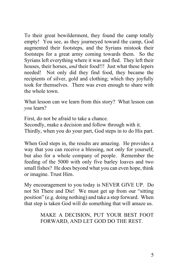To their great bewilderment, they found the camp totally empty! You see, as they journeyed toward the camp, God augmented their footsteps, and the Syrians mistook their footsteps for a great army coming towards them. So the Syrians left everything where it was and fled. They left their houses, their horses, *and* their food!!! Just what these lepers needed! Not only did they find food, they became the recipients of silver, gold and clothing; which they joyfully took for themselves. There was even enough to share with the whole town.

What lesson can we learn from this story? What lesson can *you* learn?

First, do not be afraid to take a chance. Secondly, make a decision and follow through with it. Thirdly, when you do your part, God steps in to do His part.

When God steps in, the results are amazing. He provides a way that you can receive a blessing, not only for yourself, but also for a whole company of people. Remember the feeding of the 5000 with only five barley loaves and two small fishes? He does beyond what you can even hope, think or imagine. Trust Him.

My encouragement to you today is NEVER GIVE UP. Do not Sit There and Die! We must get up from our "sitting position" (e.g. doing nothing) and take a step forward. When that step is taken God will do something that will amaze us.

> MAKE A DECISION, PUT YOUR BEST FOOT FORWARD, AND LET GOD DO THE REST.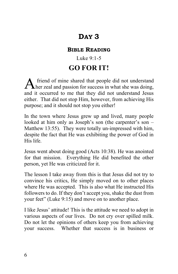#### **BIBLE READING**

## Luke 9:1-5 **GO FOR IT!**

friend of mine shared that people did not understand A friend of mine shared that people did not understand<br>her zeal and passion for success in what she was doing, and it occurred to me that they did not understand Jesus either. That did not stop Him, however, from achieving His purpose; and it should not stop you either!

In the town where Jesus grew up and lived, many people looked at him only as Joseph's son (the carpenter's son – Matthew 13:55). They were totally un-impressed with him, despite the fact that He was exhibiting the power of God in His life.

Jesus went about doing good (Acts 10:38). He was anointed for that mission. Everything He did benefited the other person, yet He was criticized for it.

The lesson I take away from this is that Jesus did not try to convince his critics, He simply moved on to other places where He was accepted. This is also what He instructed His followers to do. If they don't accept you, shake the dust from your feet" (Luke 9:15) and move on to another place.

I like Jesus' attitude! This is the attitude we need to adopt in various aspects of our lives. Do not cry over spilled milk. Do not let the opinions of others keep you from achieving your success. Whether that success is in business or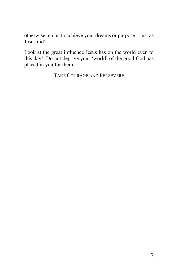otherwise, go on to achieve your dreams or purpose – just as Jesus did!

Look at the great influence Jesus has on the world even to this day! Do not deprive your 'world' of the good God has placed in you for them.

TAKE COURAGE AND PERSEVERE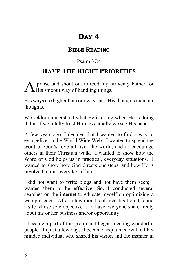### **BIBLE READING**

## Psalm 37:4

## **HAVE THE RIGHT PRIORITIES**

praise and shout out to God my heavenly Father for  $A$  praise and shout out to God my h<br>His smooth way of handling things.

His ways are higher than our ways and His thoughts than our thoughts.

We seldom understand what He is doing when He is doing it, but if we totally trust Him, eventually we see His hand.

A few years ago, I decided that I wanted to find a way to evangelize on the World Wide Web. I wanted to spread the word of God's love all over the world, and to encourage others in their Christian walk. I wanted to show how the Word of God helps us in practical, everyday situations. I wanted to show how God directs our steps, and how He is involved in our everyday affairs.

I did not want to write blogs and not have them seen; I wanted them to be effective. So, I conducted several searches on the internet to educate myself on optimizing a web presence. After a few months of investigation, I found a site whose sole objective is to have everyone share freely about his or her business and/or opportunity.

I became a part of the group and began meeting wonderful people. In just a few days, I became acquainted with a likeminded individual who shared his vision and the manner in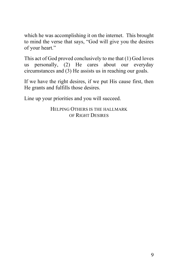which he was accomplishing it on the internet. This brought to mind the verse that says, "God will give you the desires of your heart."

This act of God proved conclusively to me that (1) God loves us personally, (2) He cares about our everyday circumstances and (3) He assists us in reaching our goals.

If we have the right desires, if we put His cause first, then He grants and fulfills those desires.

Line up your priorities and you will succeed.

HELPING OTHERS IS THE HALLMARK OF RIGHT DESIRES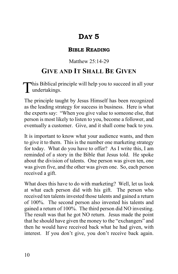#### **BIBLE READING**

### Matthew 25:14-29

## **GIVE AND IT SHALL BE GIVEN**

his Biblical principle will help you to succeed in all your This Biblical products and the set of the set of the set of the set of the set of the set of the set of the set of the set of the set of the set of the set of the set of the set of the set of the set of the set of the set

The principle taught by Jesus Himself has been recognized as the leading strategy for success in business. Here is what the experts say: "When you give value to someone else, that person is most likely to listen to you, become a follower, and eventually a customer. Give, and it shall come back to you.

It is important to know what your audience wants, and then to give it to them. This is the number one marketing strategy for today. What do you have to offer? As I write this, I am reminded of a story in the Bible that Jesus told. He spoke about the division of talents. One person was given ten, one was given five, and the other was given one. So, each person received a gift.

What does this have to do with marketing? Well, let us look at what each person did with his gift. The person who received ten talents invested those talents and gained a return of 100%. The second person also invested his talents and gained a return of 100%. The third person did NO investing. The result was that he got NO return. Jesus made the point that he should have given the money to the "exchangers" and then he would have received back what he had given, with interest. If you don't give, you don't receive back again.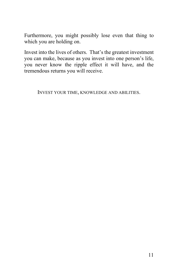Furthermore, you might possibly lose even that thing to which you are holding on.

Invest into the lives of others. That's the greatest investment you can make, because as you invest into one person's life, you never know the ripple effect it will have, and the tremendous returns you will receive.

INVEST YOUR TIME, KNOWLEDGE AND ABILITIES.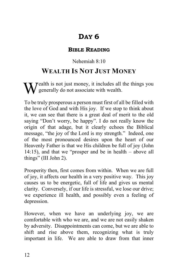#### **BIBLE READING**

### Nehemiah 8:10

## **WEALTH IS NOT JUST MONEY**

ealth is not just money, it includes all the things you generally do not associate with wealth. W

To be truly prosperous a person must first of all be filled with the love of God and with His joy. If we stop to think about it, we can see that there is a great deal of merit to the old saying "Don't worry, be happy". I do not really know the origin of that adage, but it clearly echoes the Biblical message, "the joy of the Lord is my strength." Indeed, one of the most pronounced desires upon the heart of our Heavenly Father is that we His children be full of joy (John 14:15), and that we "prosper and be in health – above all things" (III John 2).

Prosperity then, first comes from within. When we are full of joy, it affects our health in a very positive way. This joy causes us to be energetic, full of life and gives us mental clarity. Conversely, if our life is stressful, we lose our drive; we experience ill health, and possibly even a feeling of depression.

However, when we have an underlying joy, we are comfortable with who we are, and we are not easily shaken by adversity. Disappointments can come, but we are able to shift and rise above them, recognizing what is truly important in life. We are able to draw from that inner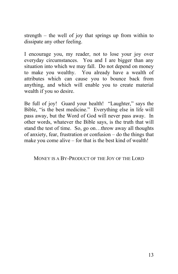strength – the well of joy that springs up from within to dissipate any other feeling.

I encourage you, my reader, not to lose your joy over everyday circumstances. You and I are bigger than any situation into which we may fall. Do not depend on money to make you wealthy. You already have a wealth of attributes which can cause you to bounce back from anything, and which will enable you to create material wealth if you so desire.

Be full of joy! Guard your health! "Laughter," says the Bible, "is the best medicine." Everything else in life will pass away, but the Word of God will never pass away. In other words, whatever the Bible says, is the truth that will stand the test of time. So, go on…throw away all thoughts of anxiety, fear, frustration or confusion – do the things that make you come alive – for that is the best kind of wealth!

MONEY IS A BY-PRODUCT OF THE JOY OF THE LORD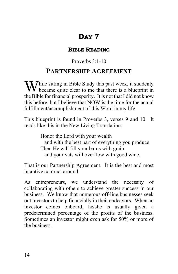#### **BIBLE READING**

## Proverbs 3:1-10

## **PARTNERSHIP AGREEMENT**

While sitting in Bible Study this past week, it suddenly became quite clear to me that there is a blueprint in  $\bf{V}$  became quite clear to me that there is a blueprint in the Bible for financial prosperity. It is not that I did not know this before, but I believe that NOW is the time for the actual fulfillment/accomplishment of this Word in my life.

This blueprint is found in Proverbs 3, verses 9 and 10. It reads like this in the New Living Translation:

> Honor the Lord with your wealth and with the best part of everything you produce Then He will fill your barns with grain and your vats will overflow with good wine.

That is our Partnership Agreement. It is the best and most lucrative contract around.

As entrepreneurs, we understand the necessity of collaborating with others to achieve greater success in our business. We know that numerous off-line businesses seek out investors to help financially in their endeavors. When an investor comes onboard, he/she is usually given a predetermined percentage of the profits of the business. Sometimes an investor might even ask for 50% or more of the business.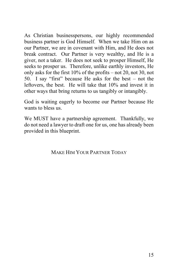As Christian businesspersons, our highly recommended business partner is God Himself. When we take Him on as our Partner, we are in covenant with Him, and He does not break contract. Our Partner is very wealthy, and He is a giver, not a taker. He does not seek to prosper Himself, He seeks to prosper us. Therefore, unlike earthly investors, He only asks for the first 10% of the profits – not 20, not 30, not 50. I say "first" because He asks for the best – not the leftovers, the best. He will take that 10% and invest it in other ways that bring returns to us tangibly or intangibly.

God is waiting eagerly to become our Partner because He wants to bless us.

We MUST have a partnership agreement. Thankfully, we do not need a lawyer to draft one for us, one has already been provided in this blueprint.

MAKE HIM YOUR PARTNER TODAY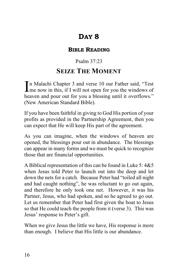#### **BIBLE READING**

## Psalm 37:23

## **SEIZE THE MOMENT**

n Malachi Chapter 3 and verse 10 our Father said, "Test In Malachi Chapter 3 and verse 10 our Father said, "Test<br>me now in this, if I will not open for you the windows of heaven and pour out for you a blessing until it overflows." (New American Standard Bible).

If you have been faithful in giving to God His portion of your profits as provided in the Partnership Agreement, then you can expect that He will keep His part of the agreement.

As you can imagine, when the windows of heaven are opened, the blessings pour out in abundance. The blessings can appear in many forms and we must be quick to recognize those that are financial opportunities.

A Biblical representation of this can be found in Luke 5: 4&5 when Jesus told Peter to launch out into the deep and let down the nets for a catch. Because Peter had "toiled all night and had caught nothing", he was reluctant to go out again, and therefore he only took one net. However, it was his Partner, Jesus, who had spoken, and so he agreed to go out. Let us remember that Peter had first given the boat to Jesus so that He could teach the people from it (verse 3). This was Jesus' response to Peter's gift.

When we give Jesus the little we have, His response is more than enough. I believe that His little is our abundance.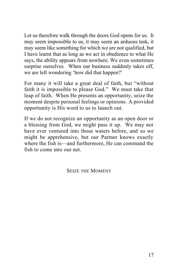Let us therefore walk through the doors God opens for us. It may seem impossible to us, it may seem an arduous task, it may seem like something for which we are not qualified, but I have learnt that as long as we act in obedience to what He says, the ability appears from nowhere. We even sometimes surprise ourselves. When our business suddenly takes off, we are left wondering 'how did that happen?'

For many it will take a great deal of faith, but "without faith it is impossible to please God." We must take that leap of faith. When He presents an opportunity, seize the moment despite personal feelings or opinions. A provided opportunity is His word to us to launch out.

If we do not recognize an opportunity as an open door or a blessing from God, we might pass it up. We may not have ever ventured into those waters before, and so we might be apprehensive, but our Partner knows exactly where the fish is—and furthermore, He can command the fish to come into our net.

SEIZE THE MOMENT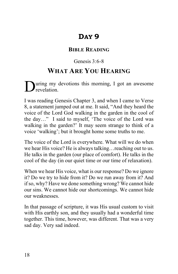#### **BIBLE READING**

## Genesis 3:6-8

## **WHAT ARE YOU HEARING**

uring my devotions this morning, I got an awesome During my<br>revelation.

I was reading Genesis Chapter 3, and when I came to Verse 8, a statement jumped out at me. It said, "And they heard the voice of the Lord God walking in the garden in the cool of the day…" I said to myself, 'The voice of the Lord was walking in the garden?' It may seem strange to think of a voice 'walking'; but it brought home some truths to me.

The voice of the Lord is everywhere. What will we do when we hear His voice? He is always talking…reaching out to us. He talks in the garden (our place of comfort). He talks in the cool of the day (in our quiet time or our time of relaxation).

When we hear His voice, what is our response? Do we ignore it? Do we try to hide from it? Do we run away from it? And if so, why? Have we done something wrong? We cannot hide our sins. We cannot hide our shortcomings. We cannot hide our weaknesses.

In that passage of scripture, it was His usual custom to visit with His earthly son, and they usually had a wonderful time together. This time, however, was different. That was a very sad day. Very sad indeed.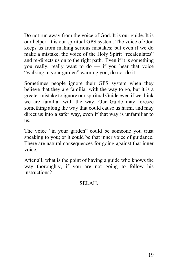Do not run away from the voice of God. It is our guide. It is our helper. It is our spiritual GPS system. The voice of God keeps us from making serious mistakes; but even if we do make a mistake, the voice of the Holy Spirit "recalculates" and re-directs us on to the right path. Even if it is something you really, really want to do — if you hear that voice "walking in your garden" warning you, do not do it!

Sometimes people ignore their GPS system when they believe that they are familiar with the way to go, but it is a greater mistake to ignore our spiritual Guide even if we think we are familiar with the way. Our Guide may foresee something along the way that could cause us harm, and may direct us into a safer way, even if that way is unfamiliar to us.

The voice "in your garden" could be someone you trust speaking to you; or it could be that inner voice of guidance. There are natural consequences for going against that inner voice.

After all, what is the point of having a guide who knows the way thoroughly, if you are not going to follow his instructions?

### SELAH.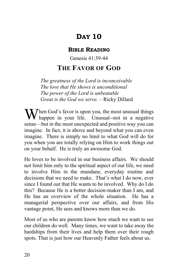#### **BIBLE READING**

Genesis 41:39-44

## **THE FAVOR OF GOD**

*The greatness of the Lord is inconceivable The love that He shows is unconditional The power of the Lord is unbeatable Great is the God we serve. –* Ricky Dillard

When God's favor is upon you, the most unusual things<br>happen in your life. Unusual--not in a negative happen in your life. Unusual--not in a negative sense—but in the most unexpected and positive way you can imagine. In fact, it is above and beyond what you can even imagine. There is simply no limit to what God will do for you when you are totally relying on Him to work things out on your behalf. He is truly an awesome God.

He loves to be involved in our business affairs. We should not limit him only to the spiritual aspect of our life, we need to involve Him in the mundane, everyday routine and decisions that we need to make. That's what I do now, ever since I found out that He wants to be involved. Why do I do this? Because He is a better decision-maker than I am, and He has an overview of the whole situation. He has a managerial perspective over our affairs, and from His vantage point, He sees and knows more than we do.

Most of us who are parents know how much we want to see our children do well. Many times, we want to take away the hardships from their lives and help them over their rough spots. That is just how our Heavenly Father feels about us.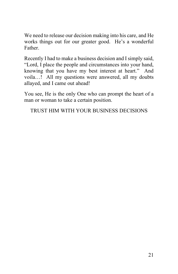We need to release our decision making into his care, and He works things out for our greater good. He's a wonderful Father.

Recently I had to make a business decision and I simply said, "Lord, I place the people and circumstances into your hand, knowing that you have my best interest at heart." And voila…! All my questions were answered, all my doubts allayed, and I came out ahead!

You see, He is the only One who can prompt the heart of a man or woman to take a certain position.

TRUST HIM WITH YOUR BUSINESS DECISIONS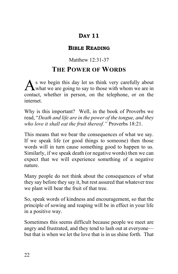#### **BIBLE READING**

## Matthew 12:31-37

## **THE POWER OF WORDS**

s we begin this day let us think very carefully about what we are going to say to those with whom we are in contact, whether in person, on the telephone, or on the internet. A

Why is this important? Well, in the book of Proverbs we read, "*Death and life are in the power of the tongue, and they who love it shall eat the fruit thereof."* Proverbs 18:21.

This means that we bear the consequences of what we say. If we speak life (or good things to someone) then those words will in turn cause something good to happen to us. Similarly, if we speak death (or negative words) then we can expect that we will experience something of a negative nature.

Many people do not think about the consequences of what they say before they say it, but rest assured that whatever tree we plant will bear the fruit of that tree.

So, speak words of kindness and encouragement, so that the principle of sowing and reaping will be in effect in your life in a positive way.

Sometimes this seems difficult because people we meet are angry and frustrated, and they tend to lash out at everyone but that is when we let the love that is in us shine forth. That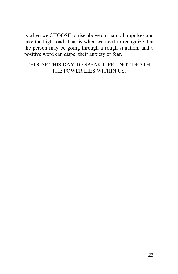is when we CHOOSE to rise above our natural impulses and take the high road. That is when we need to recognize that the person may be going through a rough situation, and a positive word can dispel their anxiety or fear.

#### CHOOSE THIS DAY TO SPEAK LIFE – NOT DEATH. THE POWER LIES WITHIN US.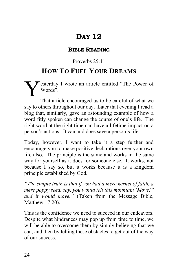#### **BIBLE READING**

## Proverbs 25:11

## **HOW TO FUEL YOUR DREAMS**

esterday I wrote an article entitled "The Power of Words". Y

That article encouraged us to be careful of what we say to others throughout our day. Later that evening I read a blog that, similarly, gave an astounding example of how a word fitly spoken can change the course of one's life. The right word at the right time can have a lifetime impact on a person's actions. It can and does save a person's life.

Today, however, I want to take it a step further and encourage you to make positive declarations over your own life also. The principle is the same and works in the same way for yourself as it does for someone else. It works, not because I say so, but it works because it is a kingdom principle established by God.

*"The simple truth is that if you had a mere kernel of faith, a mere poppy seed, say, you would tell this mountain 'Move!" and it would move."* (Taken from the Message Bible, Matthew 17:20).

This is the confidence we need to succeed in our endeavors. Despite what hindrances may pop up from time to time, we will be able to overcome them by simply believing that we can, and then by telling these obstacles to get out of the way of our success.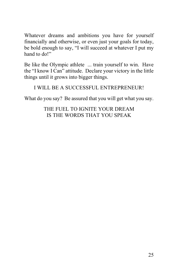Whatever dreams and ambitions you have for yourself financially and otherwise, or even just your goals for today, be bold enough to say, "I will succeed at whatever I put my hand to do!"

Be like the Olympic athlete ... train yourself to win. Have the "I know I Can" attitude. Declare your victory in the little things until it grows into bigger things.

#### I WILL BE A SUCCESSFUL ENTREPRENEUR!

What do you say? Be assured that you will get what you say.

THE FUEL TO IGNITE YOUR DREAM IS THE WORDS THAT YOU SPEAK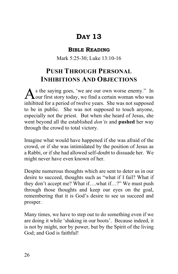#### **BIBLE READING**

Mark 5:25-30; Luke 13:10-16

## **PUSH THROUGH PERSONAL INHIBITIONS AND OBJECTIONS**

s the saying goes, 'we are our own worse enemy." In As the saying goes, 'we are our own worse enemy." In our first story today, we find a certain woman who was inhibited for a period of twelve years. She was not supposed to be in public. She was not supposed to touch anyone, especially not the priest. But when she heard of Jesus, she went beyond all the established *don'ts* and **pushed** her way through the crowd to total victory.

Imagine what would have happened if she was afraid of the crowd, or if she was intimidated by the position of Jesus as a Rabbi, or if she had allowed self-doubt to dissuade her. We might never have even known of her.

Despite numerous thoughts which are sent to deter us in our desire to succeed, thoughts such as "what if I fail? What if they don't accept me? What if….what if…?" We must push through those thoughts and keep our eyes on the goal, remembering that it is God's desire to see us succeed and prosper.

Many times, we have to step out to do something even if we are doing it while 'shaking in our boots'. Because indeed, it is not by might, nor by power, but by the Spirit of the living God; and God is faithful!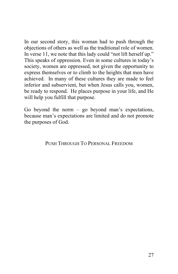In our second story, this woman had to push through the objections of others as well as the traditional role of women. In verse 11, we note that this lady could "not lift herself up." This speaks of oppression. Even in some cultures in today's society, women are oppressed, not given the opportunity to express themselves or to climb to the heights that men have achieved. In many of these cultures they are made to feel inferior and subservient, but when Jesus calls you, women, be ready to respond. He places purpose in your life, and He will help you fulfill that purpose.

Go beyond the norm  $-$  go beyond man's expectations, because man's expectations are limited and do not promote the purposes of God.

PUSH THROUGH TO PERSONAL FREEDOM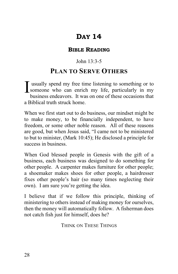#### **BIBLE READING**

#### John 13:3-5

### **PLAN TO SERVE OTHERS**

usually spend my free time listening to something or to I usually spend my free time listening to something or to<br>someone who can enrich my life, particularly in my<br>hydroge or degrees. It was an one of these essessions that business endeavors. It was on one of these occasions that a Biblical truth struck home.

When we first start out to do business, our mindset might be to make money, to be financially independent, to have freedom, or some other noble reason. All of these reasons are good, but when Jesus said, "I came not to be ministered to but to minister, (Mark 10:45); He disclosed a principle for success in business.

When God blessed people in Genesis with the gift of a business, each business was designed to do something for other people. A carpenter makes furniture for other people; a shoemaker makes shoes for other people, a hairdresser fixes other people's hair (so many times neglecting their own). I am sure you're getting the idea.

I believe that if we follow this principle, thinking of ministering to others instead of making money for ourselves, then the money will automatically follow. A fisherman does not catch fish just for himself, does he?

THINK ON THESE THINGS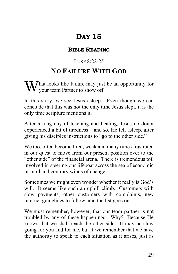#### **BIBLE READING**

#### LUKE 8:22-25

## **NO FAILURE WITH GOD**

hat looks like failure may just be an opportunity for What looks like failure may just<br>your team Partner to show off.

In this story, we see Jesus asleep. Even though we can conclude that this was not the only time Jesus slept, it is the only time scripture mentions it.

After a long day of teaching and healing, Jesus no doubt experienced a bit of tiredness – and so, He fell asleep, after giving his disciples instructions to "go to the other side."

We too, often become tired, weak and many times frustrated in our quest to move from our present position over to the "other side" of the financial arena. There is tremendous toil involved in steering our lifeboat across the sea of economic turmoil and contrary winds of change.

Sometimes we might even wonder whether it really is God's will. It seems like such an uphill climb. Customers with slow payments, other customers with complaints, new internet guidelines to follow, and the list goes on.

We must remember, however, that our team partner is not troubled by any of these happenings. Why? Because He knows that we shall reach the other side. It may be slow going for you and for me, but if we remember that we have the authority to speak to each situation as it arises, just as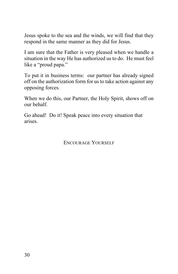Jesus spoke to the sea and the winds, we will find that they respond in the same manner as they did for Jesus.

I am sure that the Father is very pleased when we handle a situation in the way He has authorized us to do. He must feel like a "proud papa."

To put it in business terms: our partner has already signed off on the authorization form for us to take action against any opposing forces.

When we do this, our Partner, the Holy Spirit, shows off on our behalf.

Go ahead! Do it! Speak peace into every situation that arises.

ENCOURAGE YOURSELF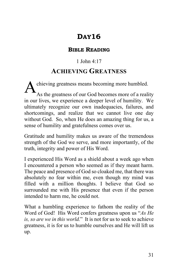#### **BIBLE READING**

#### 1 John 4:17

## **ACHIEVING GREATNESS**

chieving greatness means becoming more humbled. As the greatness of our God becomes more of a reality in our lives, we experience a deeper level of humility. We ultimately recognize our own inadequacies, failures, and shortcomings, and realize that we cannot live one day without God. So, when He does an amazing thing for us, a sense of humility and gratefulness comes over us. A

Gratitude and humility makes us aware of the tremendous strength of the God we serve, and more importantly, of the truth, integrity and power of His Word.

I experienced His Word as a shield about a week ago when I encountered a person who seemed as if they meant harm. The peace and presence of God so cloaked me, that there was absolutely no fear within me, even though my mind was filled with a million thoughts. I believe that God so surrounded me with His presence that even if the person intended to harm me, he could not.

What a humbling experience to fathom the reality of the Word of God! His Word confers greatness upon us "*As He is, so are we in this world.*" It is not for us to seek to achieve greatness, it is for us to humble ourselves and He will lift us up.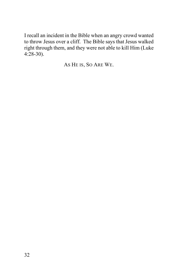I recall an incident in the Bible when an angry crowd wanted to throw Jesus over a cliff. The Bible says that Jesus walked right through them, and they were not able to kill Him (Luke 4:28-30).

AS HE IS, SO ARE WE.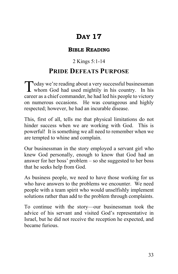#### **BIBLE READING**

#### 2 Kings 5:1-14

## **PRIDE DEFEATS PURPOSE**

oday we're reading about a very successful businessman Today we're reading about a very successful businessman<br>whom God had used mightily in his country. In his career as a chief commander, he had led his people to victory on numerous occasions. He was courageous and highly respected; however, he had an incurable disease.

This, first of all, tells me that physical limitations do not hinder success when we are working with God. This is powerful! It is something we all need to remember when we are tempted to whine and complain.

Our businessman in the story employed a servant girl who knew God personally, enough to know that God had an answer for her boss' problem – so she suggested to her boss that he seeks help from God.

As business people, we need to have those working for us who have answers to the problems we encounter. We need people with a team spirit who would unselfishly implement solutions rather than add to the problem through complaints.

To continue with the story—our businessman took the advice of his servant and visited God's representative in Israel, but he did not receive the reception he expected, and became furious.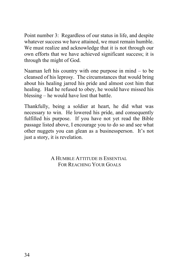Point number 3: Regardless of our status in life, and despite whatever success we have attained, we must remain humble. We must realize and acknowledge that it is not through our own efforts that we have achieved significant success; it is through the might of God.

Naaman left his country with one purpose in mind – to be cleansed of his leprosy. The circumstances that would bring about his healing jarred his pride and almost cost him that healing. Had he refused to obey, he would have missed his blessing – he would have lost that battle.

Thankfully, being a soldier at heart, he did what was necessary to win. He lowered his pride, and consequently fulfilled his purpose. If you have not yet read the Bible passage listed above, I encourage you to do so and see what other nuggets you can glean as a businessperson. It's not just a story, it is revelation.

> A HUMBLE ATTITUDE IS ESSENTIAL FOR REACHING YOUR GOALS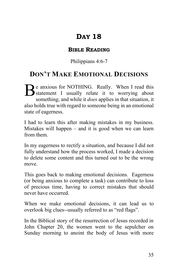#### **BIBLE READING**

#### Philippians 4:6-7

## **DON'T MAKE EMOTIONAL DECISIONS**

**e** anxious for NOTHING. Really. When I read this Be anxious for NOTHING. Really. When I read this<br>
statement I usually relate it to worrying about<br>
semething and while it does earnlies in the teitration it something; and while it *does* applies in that situation, it also holds true with regard to someone being in an emotional state of eagerness.

I had to learn this after making mistakes in my business. Mistakes will happen – and it is good when we can learn from them.

In my eagerness to rectify a situation, and because I did not fully understand how the process worked, I made a decision to delete some content and this turned out to be the wrong move.

This goes back to making emotional decisions. Eagerness (or being anxious to complete a task) can contribute to loss of precious time, having to correct mistakes that should never have occurred.

When we make emotional decisions, it can lead us to overlook big clues--usually referred to as "red flags".

In the Biblical story of the resurrection of Jesus recorded in John Chapter 20, the women went to the sepulcher on Sunday morning to anoint the body of Jesus with more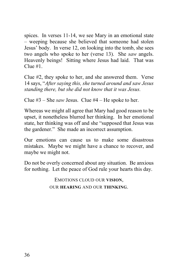spices. In verses 11-14, we see Mary in an emotional state – weeping because she believed that someone had stolen Jesus' body. In verse 12, on looking into the tomb, she sees two angels who spoke to her (verse 13). She *saw* angels. Heavenly beings! Sitting where Jesus had laid. That was  $C$ lue  $#1$ .

Clue #2, they spoke to her, and she answered them. Verse 14 says, "*After saying this, she turned around and saw Jesus standing there, but she did not know that it was Jesus.*

Clue #3 – She *saw* Jesus. Clue #4 – He spoke to her.

Whereas we might all agree that Mary had good reason to be upset, it nonetheless blurred her thinking. In her emotional state, her thinking was off and she "supposed that Jesus was the gardener." She made an incorrect assumption.

Our emotions can cause us to make some disastrous mistakes. Maybe we might have a chance to recover, and maybe we might not.

Do not be overly concerned about any situation. Be anxious for nothing. Let the peace of God rule your hearts this day.

> EMOTIONS CLOUD OUR **VISION**, OUR **HEARING** AND OUR **THINKING**.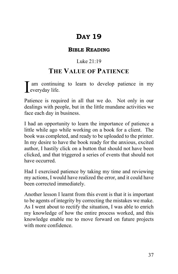#### **BIBLE READING**

#### Luke 21:19

## **THE VALUE OF PATIENCE**

am continuing to learn to develop patience in my I am continuis

Patience is required in all that we do. Not only in our dealings with people, but in the little mundane activities we face each day in business.

I had an opportunity to learn the importance of patience a little while ago while working on a book for a client. The book was completed, and ready to be uploaded to the printer. In my desire to have the book ready for the anxious, excited author, I hastily click on a button that should not have been clicked, and that triggered a series of events that should not have occurred.

Had I exercised patience by taking my time and reviewing my actions, I would have realized the error, and it could have been corrected immediately.

Another lesson I learnt from this event is that it is important to be agents of integrity by correcting the mistakes we make. As I went about to rectify the situation, I was able to enrich my knowledge of how the entire process worked, and this knowledge enable me to move forward on future projects with more confidence.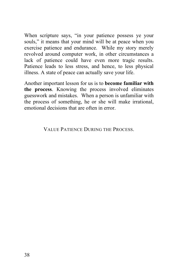When scripture says, "in your patience possess ye your souls," it means that your mind will be at peace when you exercise patience and endurance. While my story merely revolved around computer work, in other circumstances a lack of patience could have even more tragic results. Patience leads to less stress, and hence, to less physical illness. A state of peace can actually save your life.

Another important lesson for us is to **become familiar with the process**. Knowing the process involved eliminates guesswork and mistakes. When a person is unfamiliar with the process of something, he or she will make irrational, emotional decisions that are often in error.

VALUE PATIENCE DURING THE PROCESS.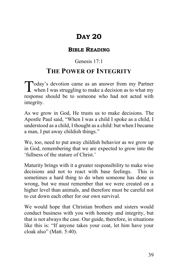#### **BIBLE READING**

#### Genesis 17:1

## **THE POWER OF INTEGRITY**

oday's devotion came as an answer from my Partner Today's devotion came as an answer from my Partner<br>when I was struggling to make a decision as to what my response should be to someone who had not acted with integrity.

As we grow in God, He trusts us to make decisions. The Apostle Paul said, "When I was a child I spoke as a child, I understood as a child, I thought as a child: but when I became a man, I put away childish things."

We, too, need to put away childish behavior as we grow up in God, remembering that we are expected to grow into the 'fullness of the stature of Christ.'

Maturity brings with it a greater responsibility to make wise decisions and not to react with base feelings. This is sometimes a hard thing to do when someone has done us wrong, but we must remember that we were created on a higher level than animals, and therefore must be careful not to cut down each other for our own survival.

We would hope that Christian brothers and sisters would conduct business with you with honesty and integrity, but that is not always the case. Our guide, therefore, in situations like this is: "If anyone takes your coat, let him have your cloak also" (Matt. 5:40).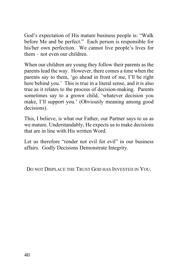God's expectation of His mature business people is: "Walk before Me and be perfect." Each person is responsible for his/her own perfection. We cannot live people's lives for them – not even our children.

When our children are young they follow their parents as the parents lead the way. However, there comes a time when the parents say to them, 'go ahead in front of me, I'll be right here behind you.' This is true in a literal sense, and it is also true as it relates to the process of decision-making. Parents sometimes say to a grown child, 'whatever decision you make, I'll support you.' (Obviously meaning among good decisions).

This, I believe, is what our Father, our Partner says to us as we mature. Understandably, He expects us to make decisions that are in line with His written Word.

Let us therefore "render not evil for evil" in our business affairs. Godly Decisions Demonstrate Integrity.

DO NOT DISPLACE THE TRUST GOD HAS INVESTED IN YOU.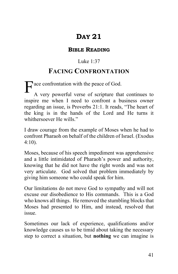#### **BIBLE READING**

#### Luke 1:37

## **FACING CONFRONTATION**

 $\frac{1}{\text{Area}} = \frac{1}{\text{Area}}$ A very powerful verse of scripture that continues to inspire me when I need to confront a business owner regarding an issue, is Proverbs 21:1. It reads, "The heart of the king is in the hands of the Lord and He turns it whithersoever He wills."

I draw courage from the example of Moses when he had to confront Pharaoh on behalf of the children of Israel. (Exodus 4:10).

Moses, because of his speech impediment was apprehensive and a little intimidated of Pharaoh's power and authority, knowing that he did not have the right words and was not very articulate. God solved that problem immediately by giving him someone who could speak for him.

Our limitations do not move God to sympathy and will not excuse our disobedience to His commands. This is a God who knows all things. He removed the stumbling blocks that Moses had presented to Him, and instead, resolved that issue.

Sometimes our lack of experience, qualifications and/or knowledge causes us to be timid about taking the necessary step to correct a situation, but **nothing** we can imagine is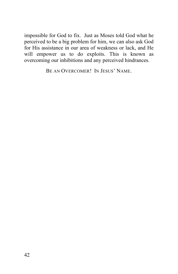impossible for God to fix. Just as Moses told God what he perceived to be a big problem for him, we can also ask God for His assistance in our area of weakness or lack, and He will empower us to do exploits. This is known as overcoming our inhibitions and any perceived hindrances.

BE AN OVERCOMER! IN JESUS' NAME.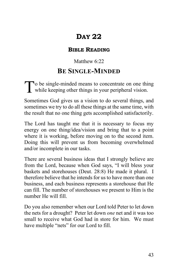#### **BIBLE READING**

#### Matthew  $6.22$

## **BE SINGLE-MINDED**

o be single-minded means to concentrate on one thing To be single-minded means to concentrate on one this while keeping other things in your peripheral vision.

Sometimes God gives us a vision to do several things, and sometimes we try to do all these things at the same time, with the result that no one thing gets accomplished satisfactorily.

The Lord has taught me that it is necessary to focus my energy on one thing/idea/vision and bring that to a point where it is working, before moving on to the second item. Doing this will prevent us from becoming overwhelmed and/or incomplete in our tasks.

There are several business ideas that I strongly believe are from the Lord, because when God says, "I will bless your baskets and storehouses (Deut. 28:8) He made it plural. I therefore believe that he intends for us to have more than one business, and each business represents a storehouse that He can fill. The number of storehouses we present to Him is the number He will fill.

Do you also remember when our Lord told Peter to let down the nets for a drought? Peter let down *one* net and it was too small to receive what God had in store for him. We must have multiple "nets" for our Lord to fill.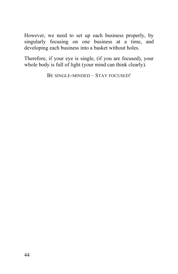However, we need to set up each business properly, by singularly focusing on one business at a time, and developing each business into a basket without holes.

Therefore, if your eye is single, (if you are focused), your whole body is full of light (your mind can think clearly).

BE SINGLE-MINDED – STAY FOCUSED!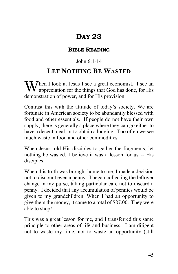#### **BIBLE READING**

#### John 6:1-14

## **LET NOTHING BE WASTED**

When I look at Jesus I see a great economist. I see an appreciation for the things that God has done, for His  $\boldsymbol{V}$  appreciation for the things that God has done, for His demonstration of power, and for His provision.

Contrast this with the attitude of today's society. We are fortunate in American society to be abundantly blessed with food and other essentials. If people do not have their own supply, there is generally a place where they can go either to have a decent meal, or to obtain a lodging. Too often we see much waste in food and other commodities.

When Jesus told His disciples to gather the fragments, let nothing be wasted, I believe it was a lesson for us -- His disciples.

When this truth was brought home to me, I made a decision not to discount even a penny. I began collecting the leftover change in my purse, taking particular care not to discard a penny. I decided that any accumulation of pennies would be given to my grandchildren. When I had an opportunity to give them the money, it came to a total of \$87.00. They were able to shop!

This was a great lesson for me, and I transferred this same principle to other areas of life and business. I am diligent not to waste my time, not to waste an opportunity (still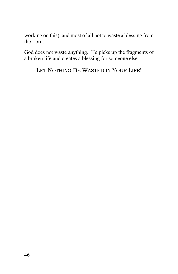working on this), and most of all not to waste a blessing from the Lord.

God does not waste anything. He picks up the fragments of a broken life and creates a blessing for someone else.

LET NOTHING BE WASTED IN YOUR LIFE!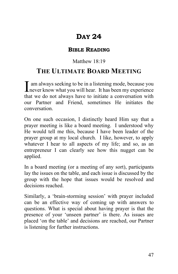#### **BIBLE READING**

#### Matthew 18:19

### **THE ULTIMATE BOARD MEETING**

am always seeking to be in a listening mode, because you I am always seeking to be in a listening mode, because you never know what you will hear. It has been my experience that we do not always have to initiate a conversation with our Partner and Friend, sometimes He initiates the conversation.

On one such occasion, I distinctly heard Him say that a prayer meeting is like a board meeting. I understood why He would tell me this, because I have been leader of the prayer group at my local church. I like, however, to apply whatever I hear to all aspects of my life; and so, as an entrepreneur I can clearly see how this nugget can be applied.

In a board meeting (or a meeting of any sort), participants lay the issues on the table, and each issue is discussed by the group with the hope that issues would be resolved and decisions reached.

Similarly, a 'brain-storming session' with prayer included can be an effective way of coming up with answers to questions. What is special about having prayer is that the presence of your 'unseen partner' is there. As issues are placed 'on the table' and decisions are reached, our Partner is listening for further instructions.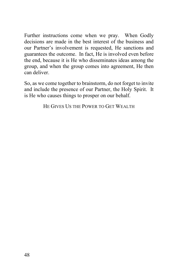Further instructions come when we pray. When Godly decisions are made in the best interest of the business and our Partner's involvement is requested, He sanctions and guarantees the outcome. In fact, He is involved even before the end, because it is He who disseminates ideas among the group, and when the group comes into agreement, He then can deliver.

So, as we come together to brainstorm, do not forget to invite and include the presence of our Partner, the Holy Spirit. It is He who causes things to prosper on our behalf.

HE GIVES US THE POWER TO GET WEALTH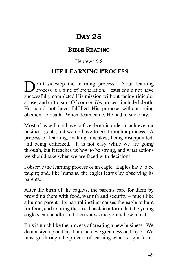#### **BIBLE READING**

#### Hebrews 5:8

## **THE LEARNING PROCESS**

on't sidestep the learning process. Your learning **D**on't sidestep the learning process. Your learning process is a time of preparation. Jesus could not have successfully completed His mission without facing ridicule, abuse, and criticism. Of course, *His* process included death. He could not have fulfilled His purpose without being obedient to death. When death came, He had to say okay.

Most of us will not have to face death in order to achieve our business goals, but we do have to go through a process. A process of learning, making mistakes, being disappointed, and being criticized. It is not easy while we are going through, but it teaches us how to be strong, and what actions we should take when we are faced with decisions.

I observe the learning process of an eagle. Eagles have to be taught; and, like humans, the eaglet learns by observing its parents.

After the birth of the eaglets, the parents care for them by providing them with food, warmth and security – much like a human parent. Its natural instinct causes the eagle to hunt for food, and to bring that food back in a form that the young eaglets can handle, and then shows the young how to eat.

This is much like the process of creating a new business. We do not sign up on Day 1 and achieve greatness on Day 2. We must go through the process of learning what is right for us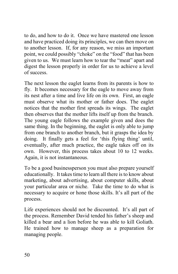to do, and how to do it. Once we have mastered one lesson and have practiced doing its principles, we can then move on to another lesson. If, for any reason, we miss an important point, we could possibly "choke" on the "food" that has been given to us. We must learn how to tear the "meat" apart and digest the lesson properly in order for us to achieve a level of success.

The next lesson the eaglet learns from its parents is how to fly. It becomes necessary for the eagle to move away from its nest after a time and live life on its own. First, an eagle must observe what its mother or father does. The eaglet notices that the mother first spreads its wings. The eaglet then observes that the mother lifts itself up from the branch. The young eagle follows the example given and does the same thing. In the beginning, the eaglet is only able to jump from one branch to another branch, but it grasps the idea by doing. It finally gets a feel for 'this flying thing' until, eventually, after much practice, the eagle takes off on its own. However, this process takes about 10 to 12 weeks. Again, it is not instantaneous.

To be a good businessperson you must also prepare yourself educationally. It takes time to learn all there is to know about marketing, about advertising, about computer skills, about your particular area or niche. Take the time to do what is necessary to acquire or hone those skills. It's all part of the process.

Life experiences should not be discounted. It's all part of the process. Remember David tended his father's sheep and killed a bear and a lion before he was able to kill Goliath. He trained how to manage sheep as a preparation for managing people.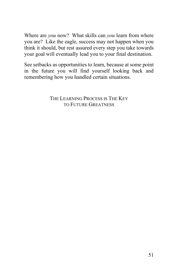Where are *you* now? What skills can *you* learn from where you are? Like the eagle, success may not happen when you think it should, but rest assured every step you take towards your goal will eventually lead you to your final destination.

See setbacks as opportunities to learn, because at some point in the future you will find yourself looking back and remembering how you handled certain situations.

> THE LEARNING PROCESS IS THE KEY TO FUTURE GREATNESS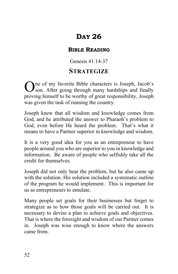#### **BIBLE READING**

#### Genesis 41:14-37

## **STRATEGIZE**

ne of my favorite Bible characters is Joseph, Jacob's One of my favorite Bible characters is Joseph, Jacob's son. After going through many hardships and finally proving himself to be worthy of great responsibility, Joseph was given the task of running the country.

Joseph knew that all wisdom and knowledge comes from God, and he attributed the answer to Pharaoh's problem to God, even before He heard the problem. That's what it means to have a Partner superior in knowledge and wisdom.

It is a very good idea for you as an entrepreneur to have people around you who are superior to you in knowledge and information. Be aware of people who selfishly take all the credit for themselves.

Joseph did not only hear the problem, but he also came up with the solution. His solution included a systematic outline of the program he would implement. This is important for us as entrepreneurs to emulate.

Many people set goals for their businesses but forget to strategize as to how those goals will be carried out. It is necessary to devise a plan to achieve goals and objectives. That is where the foresight and wisdom of our Partner comes in. Joseph was wise enough to know where the answers came from.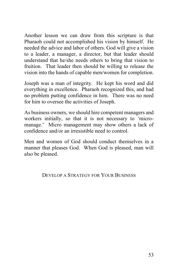Another lesson we can draw from this scripture is that Pharaoh could not accomplished his vision by himself. He needed the advice and labor of others. God will give a vision to a leader, a manager, a director, but that leader should understand that he/she needs others to bring that vision to fruition. That leader then should be willing to release the vision into the hands of capable men/women for completion.

Joseph was a man of integrity. He kept his word and did everything in excellence. Pharaoh recognized this, and had no problem putting confidence in him. There was no need for him to oversee the activities of Joseph.

As business owners, we should hire competent managers and workers initially, so that it is not necessary to 'micromanage.' Micro management may show others a lack of confidence and/or an irresistible need to control.

Men and women of God should conduct themselves in a manner that pleases God. When God is pleased, man will also be pleased.

DEVELOP A STRATEGY FOR YOUR BUSINESS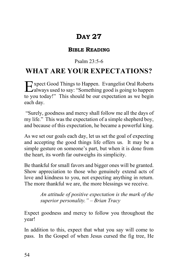#### **BIBLE READING**

#### Psalm 23:5-6

## **WHAT ARE YOUR EXPECTATIONS?**

xpect Good Things to Happen. Evangelist Oral Roberts Expect Good Things to Happen. Evangelist Oral Roberts<br>
always used to say: "Something good is going to happen to you today!" This should be our expectation as we begin each day.

"Surely, goodness and mercy shall follow me all the days of my life." This was the expectation of a simple shepherd boy, and because of this expectation, he became a powerful king.

As we set our goals each day, let us set the goal of expecting and accepting the good things life offers us. It may be a simple gesture on someone's part, but when it is done from the heart, its worth far outweighs its simplicity.

Be thankful for small favors and bigger ones will be granted. Show appreciation to those who genuinely extend acts of love and kindness to you, not expecting anything in return. The more thankful we are, the more blessings we receive.

> *An attitude of positive expectation is the mark of the superior personality." – Brian Tracy*

Expect goodness and mercy to follow you throughout the year!

In addition to this, expect that what you say will come to pass. In the Gospel of when Jesus cursed the fig tree, He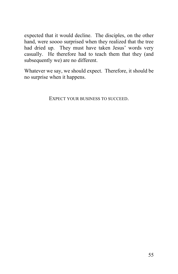expected that it would decline. The disciples, on the other hand, were soooo surprised when they realized that the tree had dried up. They must have taken Jesus' words very casually. He therefore had to teach them that they (and subsequently we) are no different.

Whatever we say, we should expect. Therefore, it should be no surprise when it happens.

EXPECT YOUR BUSINESS TO SUCCEED.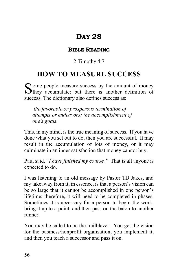#### **BIBLE READING**

2 Timothy 4:7

# **HOW TO MEASURE SUCCESS**

 $\Gamma$  ome people measure success by the amount of money Some people measure success by the amount of money<br>
Sthey accumulate; but there is another definition of success. The dictionary also defines success as:

*the favorable or prosperous termination of attempts or endeavors; the accomplishment of one's goals.*

This, in my mind, is the true meaning of success. If you have done what you set out to do, then you are successful. It may result in the accumulation of lots of money, or it may culminate in an inner satisfaction that money cannot buy.

Paul said, "*I have finished my course."* That is all anyone is expected to do.

I was listening to an old message by Pastor TD Jakes, and my takeaway from it, in essence, is that a person's vision can be so large that it cannot be accomplished in one person's lifetime; therefore, it will need to be completed in phases. Sometimes it is necessary for a person to begin the work, bring it up to a point, and then pass on the baton to another runner.

You may be called to be the trailblazer. You get the vision for the business/nonprofit organization, you implement it, and then you teach a successor and pass it on.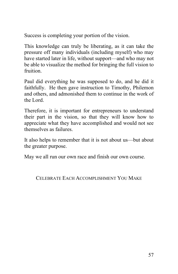Success is completing your portion of the vision.

This knowledge can truly be liberating, as it can take the pressure off many individuals (including myself) who may have started later in life, without support—and who may not be able to visualize the method for bringing the full vision to fruition.

Paul did everything he was supposed to do, and he did it faithfully. He then gave instruction to Timothy, Philemon and others, and admonished them to continue in the work of the Lord.

Therefore, it is important for entrepreneurs to understand their part in the vision, so that they will know how to appreciate what they have accomplished and would not see themselves as failures.

It also helps to remember that it is not about us—but about the greater purpose.

May we all run our own race and finish our own course.

CELEBRATE EACH ACCOMPLISHMENT YOU MAKE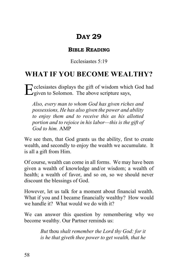#### **BIBLE READING**

Ecclesiastes 5:19

## **WHAT IF YOU BECOME WEALTHY?**

cclesiastes displays the gift of wisdom which God had Ecclesiastes displays the gift of wisdom which<br>given to Solomon. The above scripture says,

*Also, every man to whom God has given riches and possessions, He has also given the power and ability to enjoy them and to receive this as his allotted portion and to rejoice in his labor—this is the gift of God to him.* AMP

We see then, that God grants us the ability, first to create wealth, and secondly to enjoy the wealth we accumulate. It is all a gift from Him.

Of course, wealth can come in all forms. We may have been given a wealth of knowledge and/or wisdom; a wealth of health; a wealth of favor, and so on, so we should never discount the blessings of God.

However, let us talk for a moment about financial wealth. What if you and I became financially wealthy? How would we handle it? What would we do with it?

We can answer this question by remembering why we become wealthy. Our Partner reminds us:

> *But* thou *shalt remember the Lord thy God: for it is he that giveth thee power to get wealth, that he*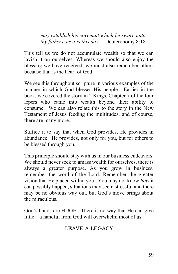*may establish his covenant which he sware unto thy fathers, as it is this day.* Deuteronomy 8:18

This tell us we do not accumulate wealth so that we can lavish it on ourselves. Whereas we should also enjoy the blessing we have received, we must also remember others because that is the heart of God.

We see this throughout scripture in various examples of the manner in which God blesses His people. Earlier in the book, we covered the story in 2 Kings, Chapter 7 of the four lepers who came into wealth beyond their ability to consume. We can also relate this to the story in the New Testament of Jesus feeding the multitudes; and of course, there are many more.

Suffice it to say that when God provides, He provides in abundance. He provides, not only for you, but for others to be blessed through you.

This principle should stay with us in our business endeavors. We should never seek to amass wealth for ourselves, there is always a greater purpose. As you grow in business, remember the word of the Lord. Remember the greater vision that He placed within you. You may not know *how* it can possibly happen, situations may seem stressful and there may be no obvious way out, but God's move brings about the miraculous.

God's hands are HUGE. There is no way that He can give little—a handful from God will overwhelm most of us.

### LEAVE A LEGACY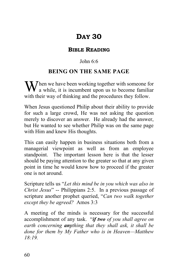#### **BIBLE READING**

#### John 6:6

#### **BEING ON THE SAME PAGE**

hen we have been working together with someone for When we have been working together with someone for<br>a while, it is incumbent upon us to become familiar with their way of thinking and the procedures they follow.

When Jesus questioned Philip about their ability to provide for such a large crowd, He was not asking the question merely to discover an answer. He already had the answer, but He wanted to see whether Philip was on the same page with Him and knew His thoughts.

This can easily happen in business situations both from a managerial viewpoint as well as from an employee standpoint. The important lesson here is that the lesser should be paying attention to the greater so that at any given point in time he would know how to proceed if the greater one is not around.

Scripture tells us "*Let this mind be in you which was also in Christ Jesus*" -- Philippians 2:5. In a previous passage of scripture another prophet queried, "*Can two walk together except they be agreed?* Amos 3:3

A meeting of the minds is necessary for the successful accomplishment of any task. "*if two of you shall agree on earth concerning anything that they shall ask, it shall be done for them by My Father who is in Heaven—Matthew 18:19.*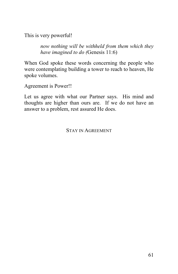This is very powerful!

*now nothing will be withheld from them which they have imagined to do (*Genesis 11:6)

When God spoke these words concerning the people who were contemplating building a tower to reach to heaven, He spoke volumes.

Agreement is Power!!

Let us agree with what our Partner says. His mind and thoughts are higher than ours are. If we do not have an answer to a problem, rest assured He does.

STAY IN AGREEMENT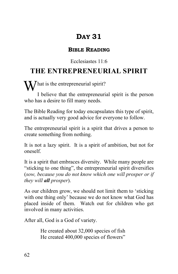#### **BIBLE READING**

#### Ecclesiastes 11:6

# **THE ENTREPRENEURIAL SPIRIT**

 $\mathbf{W}$  hat is the entrepreneurial spirit?

I believe that the entrepreneurial spirit is the person who has a desire to fill many needs.

The Bible Reading for today encapsulates this type of spirit, and is actually very good advice for everyone to follow.

The entrepreneurial spirit is a spirit that drives a person to create something from nothing.

It is not a lazy spirit. It is a spirit of ambition, but not for oneself.

It is a spirit that embraces diversity. While many people are "sticking to one thing", the entrepreneurial spirit diversifies (*sow, because you do not know which one will prosper or if they will all prosper*).

As our children grow, we should not limit them to 'sticking with one thing only' because we do not know what God has placed inside of them. Watch out for children who get involved in many activities.

After all, God is a God of variety.

He created about 32,000 species of fish He created 400,000 species of flowers"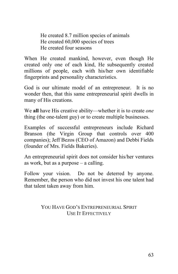He created 8.7 million species of animals He created 60,000 species of trees He created four seasons

When He created mankind, however, even though He created only one of each kind, He subsequently created millions of people, each with his/her own identifiable fingerprints and personality characteristics.

God is our ultimate model of an entrepreneur. It is no wonder then, that this same entrepreneurial spirit dwells in many of His creations.

We **all** have His creative ability—whether it is to create *one* thing (the one-talent guy) or to create multiple businesses.

Examples of successful entrepreneurs include Richard Branson (the Virgin Group that controls over 400 companies); Jeff Bezos (CEO of Amazon) and Debbi Fields (founder of Mrs. Fields Bakeries).

An entrepreneurial spirit does not consider his/her ventures as work, but as a purpose – a calling.

Follow your vision. Do not be deterred by anyone. Remember, the person who did not invest his one talent had that talent taken away from him.

## YOU HAVE GOD'S ENTREPRENEURIAL SPIRIT USE IT EFFECTIVELY